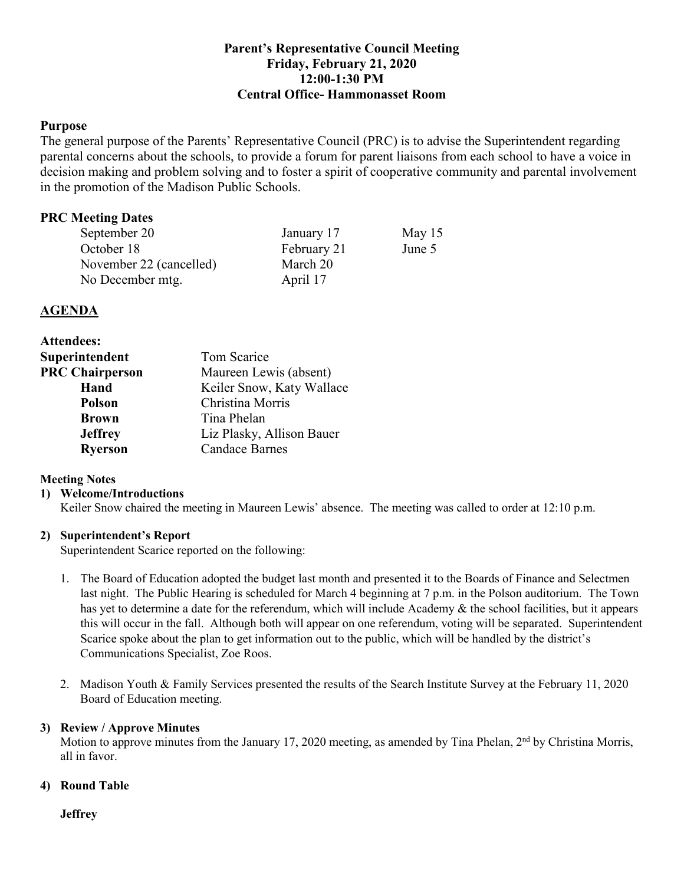# **Parent's Representative Council Meeting Friday, February 21, 2020 12:00-1:30 PM Central Office- Hammonasset Room**

## **Purpose**

 The general purpose of the Parents' Representative Council (PRC) is to advise the Superintendent regarding parental concerns about the schools, to provide a forum for parent liaisons from each school to have a voice in decision making and problem solving and to foster a spirit of cooperative community and parental involvement in the promotion of the Madison Public Schools.

# **PRC Meeting Dates**

| September 20            | January 17  | May $15$ |
|-------------------------|-------------|----------|
| October 18              | February 21 | June 5   |
| November 22 (cancelled) | March 20    |          |
| No December mtg.        | April 17    |          |

## **AGENDA**

| <b>Attendees:</b>      |                           |  |
|------------------------|---------------------------|--|
| Superintendent         | Tom Scarice               |  |
| <b>PRC Chairperson</b> | Maureen Lewis (absent)    |  |
| Hand                   | Keiler Snow, Katy Wallace |  |
| <b>Polson</b>          | Christina Morris          |  |
| <b>Brown</b>           | Tina Phelan               |  |
| <b>Jeffrey</b>         | Liz Plasky, Allison Bauer |  |
| <b>Ryerson</b>         | <b>Candace Barnes</b>     |  |

## **Meeting Notes**

#### **1) Welcome/Introductions**

Keiler Snow chaired the meeting in Maureen Lewis' absence. The meeting was called to order at 12:10 p.m.

## **2) Superintendent's Report**

Superintendent Scarice reported on the following:

- 1. The Board of Education adopted the budget last month and presented it to the Boards of Finance and Selectmen last night. The Public Hearing is scheduled for March 4 beginning at 7 p.m. in the Polson auditorium. The Town has yet to determine a date for the referendum, which will include Academy & the school facilities, but it appears this will occur in the fall. Although both will appear on one referendum, voting will be separated. Superintendent Scarice spoke about the plan to get information out to the public, which will be handled by the district's Communications Specialist, Zoe Roos.
- 2. Madison Youth & Family Services presented the results of the Search Institute Survey at the February 11, 2020 Board of Education meeting.

#### **3) Review / Approve Minutes**

Motion to approve minutes from the January 17, 2020 meeting, as amended by Tina Phelan, 2<sup>nd</sup> by Christina Morris, all in favor.

#### **4) Round Table**

**Jeffrey**